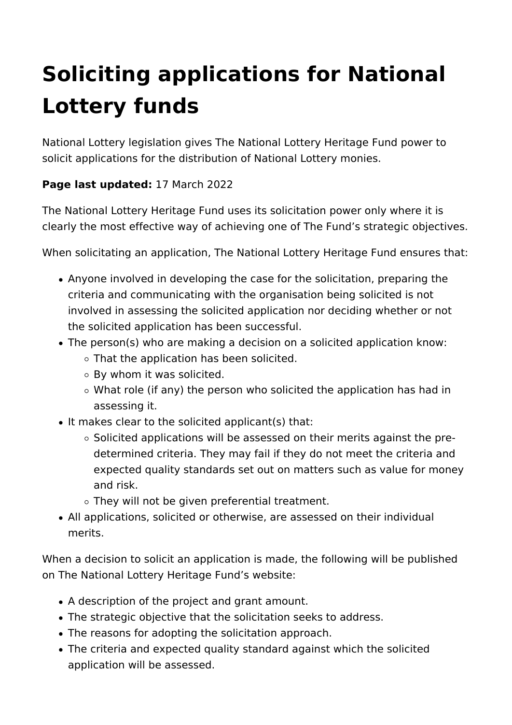## **Soliciting applications for National Lottery funds**

National Lottery legislation gives The National Lottery Heritage Fund power to solicit applications for the distribution of National Lottery monies.

## **Page last updated:** 17 March 2022

The National Lottery Heritage Fund uses its solicitation power only where it is clearly the most effective way of achieving one of The Fund's strategic objectives.

When solicitating an application, The National Lottery Heritage Fund ensures that:

- Anyone involved in developing the case for the solicitation, preparing the criteria and communicating with the organisation being solicited is not involved in assessing the solicited application nor deciding whether or not the solicited application has been successful.
- The person(s) who are making a decision on a solicited application know:
	- That the application has been solicited.
	- By whom it was solicited.
	- $\circ$  What role (if any) the person who solicited the application has had in assessing it.
- It makes clear to the solicited applicant(s) that:
	- $\circ$  Solicited applications will be assessed on their merits against the predetermined criteria. They may fail if they do not meet the criteria and expected quality standards set out on matters such as value for money and risk.
	- o They will not be given preferential treatment.
- All applications, solicited or otherwise, are assessed on their individual merits.

When a decision to solicit an application is made, the following will be published on The National Lottery Heritage Fund's website:

- A description of the project and grant amount.
- The strategic objective that the solicitation seeks to address.
- The reasons for adopting the solicitation approach.
- The criteria and expected quality standard against which the solicited application will be assessed.